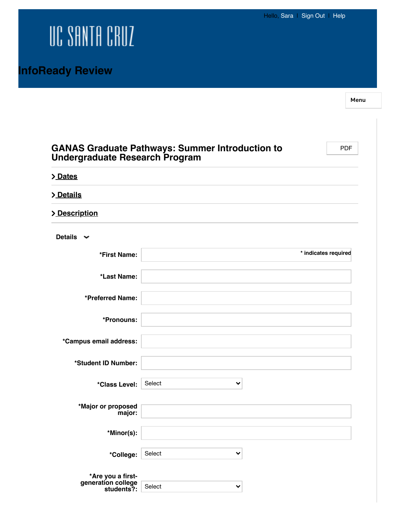## UC SANTA CRUZ

Menu

| <b>Undergraduate Research Program</b> | <b>GANAS Graduate Pathways: Summer Introduction to</b> | <b>PDF</b>           |
|---------------------------------------|--------------------------------------------------------|----------------------|
| > Dates                               |                                                        |                      |
| > Details                             |                                                        |                      |
| > Description                         |                                                        |                      |
| Details $\sim$                        |                                                        |                      |
| *First Name:                          |                                                        | * indicates required |
| *Last Name:                           |                                                        |                      |
| *Preferred Name:                      |                                                        |                      |
| *Pronouns:                            |                                                        |                      |
| *Campus email address:                |                                                        |                      |
| *Student ID Number:                   |                                                        |                      |
| *Class Level:                         | Select<br>✔                                            |                      |
| *Major or proposed<br>major:          |                                                        |                      |
| *Minor(s):                            |                                                        |                      |
| *College:                             | Select<br>$\checkmark$                                 |                      |
| *Are you a first-                     |                                                        |                      |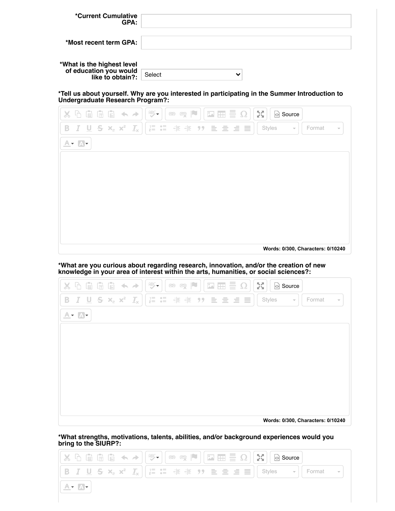| *Current Cumulative<br>GPA:                                              |                        |
|--------------------------------------------------------------------------|------------------------|
| *Most recent term GPA:                                                   |                        |
| *What is the highest level<br>of education you would<br>like to obtain?: |                        |
|                                                                          | Select<br>$\checkmark$ |

**\*Tell us about yourself. Why are you interested in participating in the Summer Introduction to Undergraduate Research Program?:**



**\*What are you curious about regarding research, innovation, and/or the creation of new knowledge in your area of interest within the arts, humanities, or social sciences?:**



**\*What strengths, motivations, talents, abilities, and/or background experiences would you bring to the SIURP?:**

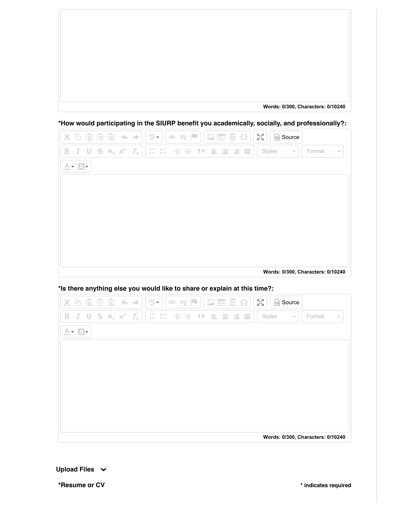**Words: 0/300, Characters: 0/10240**

**\*How would participating in the SIURP benefit you academically, socially, and professionally?:**



**\*Is there anything else you would like to share or explain at this time?:**



**\*Resume or CV \* indicates required**